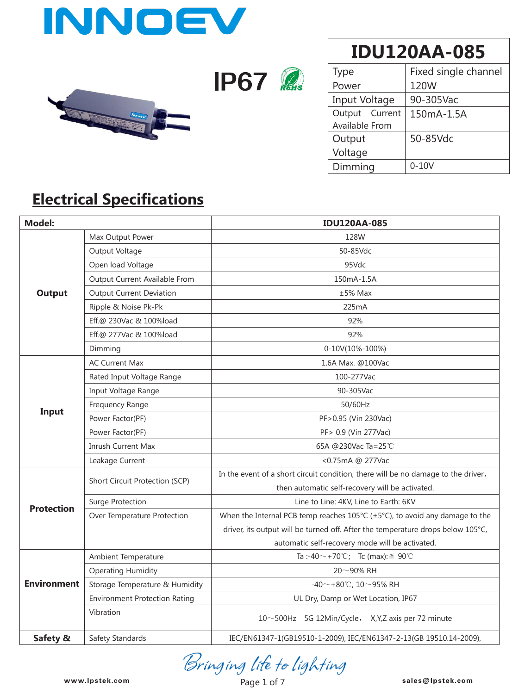

**IP67** 



**IDU120AA-085**

| Type           | Fixed single channel |  |  |  |
|----------------|----------------------|--|--|--|
| Power          | 120W                 |  |  |  |
| Input Voltage  | 90-305Vac            |  |  |  |
| Output Current | 150mA-1.5A           |  |  |  |
| Available From |                      |  |  |  |
| Output         | 50-85Vdc             |  |  |  |
| Voltage        |                      |  |  |  |
| Dimming        | $0-10V$              |  |  |  |

### **Electrical Specifications**

| <b>Model:</b>      |                                      | <b>IDU120AA-085</b>                                                                                |  |  |  |  |
|--------------------|--------------------------------------|----------------------------------------------------------------------------------------------------|--|--|--|--|
|                    | Max Output Power                     | 128W                                                                                               |  |  |  |  |
|                    | Output Voltage                       | 50-85Vdc                                                                                           |  |  |  |  |
|                    | Open load Voltage                    | 95Vdc                                                                                              |  |  |  |  |
|                    | Output Current Available From        | 150mA-1.5A                                                                                         |  |  |  |  |
| <b>Output</b>      | <b>Output Current Deviation</b>      | $±5%$ Max                                                                                          |  |  |  |  |
|                    | Ripple & Noise Pk-Pk                 | 225mA                                                                                              |  |  |  |  |
|                    | Eff.@ 230Vac & 100%load              | 92%                                                                                                |  |  |  |  |
|                    | Eff.@ 277Vac & 100%load              | 92%                                                                                                |  |  |  |  |
|                    | Dimming                              | 0-10V(10%-100%)                                                                                    |  |  |  |  |
|                    | <b>AC Current Max</b>                | 1.6A Max. @100Vac                                                                                  |  |  |  |  |
|                    | Rated Input Voltage Range            | 100-277Vac                                                                                         |  |  |  |  |
|                    | Input Voltage Range                  | 90-305Vac                                                                                          |  |  |  |  |
| Input              | Frequency Range                      | 50/60Hz                                                                                            |  |  |  |  |
|                    | Power Factor(PF)                     | PF>0.95 (Vin 230Vac)                                                                               |  |  |  |  |
|                    | Power Factor(PF)                     | PF> 0.9 (Vin 277Vac)                                                                               |  |  |  |  |
|                    | Inrush Current Max                   | 65A @230Vac Ta=25℃                                                                                 |  |  |  |  |
|                    | Leakage Current                      | <0.75mA @ 277Vac                                                                                   |  |  |  |  |
|                    | Short Circuit Protection (SCP)       | In the event of a short circuit condition, there will be no damage to the driver,                  |  |  |  |  |
|                    |                                      | then automatic self-recovery will be activated.                                                    |  |  |  |  |
| <b>Protection</b>  | <b>Surge Protection</b>              | Line to Line: 4KV, Line to Earth: 6KV                                                              |  |  |  |  |
|                    | Over Temperature Protection          | When the Internal PCB temp reaches $105^{\circ}C$ ( $\pm 5^{\circ}C$ ), to avoid any damage to the |  |  |  |  |
|                    |                                      | driver, its output will be turned off. After the temperature drops below 105°C,                    |  |  |  |  |
|                    |                                      | automatic self-recovery mode will be activated.                                                    |  |  |  |  |
|                    | Ambient Temperature                  | Ta :-40 $\sim$ +70°C; Tc (max): $\leq$ 90°C                                                        |  |  |  |  |
| <b>Environment</b> | <b>Operating Humidity</b>            | $20 - 90\%$ RH                                                                                     |  |  |  |  |
|                    | Storage Temperature & Humidity       | -40 $\sim$ +80°C, 10 $\sim$ 95% RH                                                                 |  |  |  |  |
|                    | <b>Environment Protection Rating</b> | UL Dry, Damp or Wet Location, IP67                                                                 |  |  |  |  |
|                    | Vibration                            | 10~500Hz 5G 12Min/Cycle, X,Y,Z axis per 72 minute                                                  |  |  |  |  |
| Safety &           | Safety Standards                     | IEC/EN61347-1(GB19510-1-2009), IEC/EN61347-2-13(GB 19510.14-2009),                                 |  |  |  |  |

**www.lpstek.com sales@lpstek.com**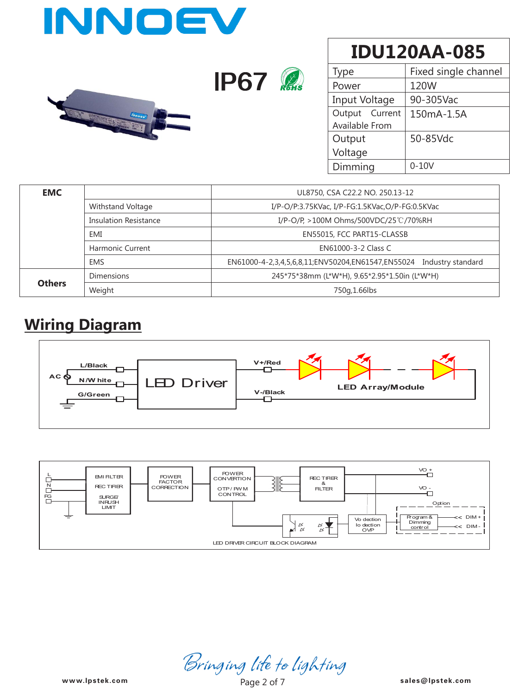| INNOEV |             |  |  |  |
|--------|-------------|--|--|--|
| innocy | <b>IP67</b> |  |  |  |

| Type           | Fixed single channel |  |  |  |
|----------------|----------------------|--|--|--|
| Power          | 120W                 |  |  |  |
| Input Voltage  | 90-305Vac            |  |  |  |
| Output Current | 150mA-1.5A           |  |  |  |
| Available From |                      |  |  |  |
| Output         | 50-85Vdc             |  |  |  |
| Voltage        |                      |  |  |  |
| Dimming        | $0 - 10V$            |  |  |  |

| <b>EMC</b>    |                              | UL8750, CSA C22.2 NO. 250.13-12                                        |  |  |  |  |
|---------------|------------------------------|------------------------------------------------------------------------|--|--|--|--|
|               | Withstand Voltage            | I/P-O/P:3.75KVac, I/P-FG:1.5KVac,O/P-FG:0.5KVac                        |  |  |  |  |
|               | <b>Insulation Resistance</b> | I/P-O/P, >100M Ohms/500VDC/25℃/70%RH                                   |  |  |  |  |
|               | EMI                          | EN55015, FCC PART15-CLASSB                                             |  |  |  |  |
|               | <b>Harmonic Current</b>      | EN61000-3-2 Class C                                                    |  |  |  |  |
|               | <b>EMS</b>                   | EN61000-4-2,3,4,5,6,8,11;ENV50204,EN61547,EN55024<br>Industry standard |  |  |  |  |
|               | <b>Dimensions</b>            | 245*75*38mm (L*W*H), 9.65*2.95*1.50in (L*W*H)                          |  |  |  |  |
| <b>Others</b> | Weight                       | 750g, 1.66lbs                                                          |  |  |  |  |

### **Wiring Diagram**





**www.lpstek.com sales@lpstek.com**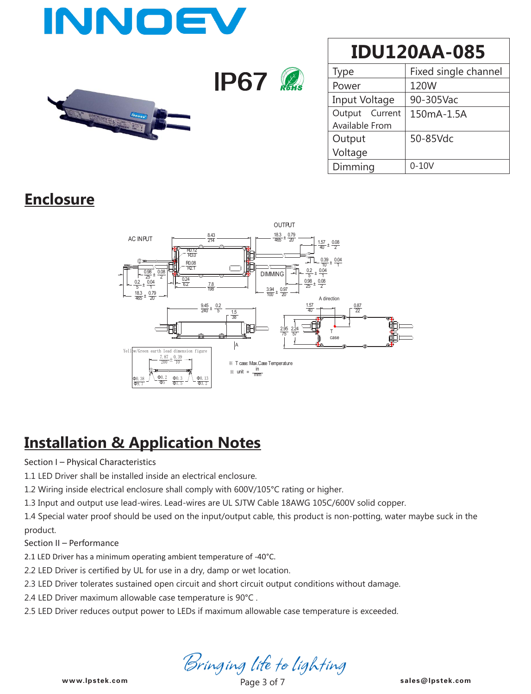

**IP67** 



## **IDU120AA-085**

| Type           | Fixed single channel |  |  |  |
|----------------|----------------------|--|--|--|
| Power          | 120W                 |  |  |  |
| Input Voltage  | 90-305Vac            |  |  |  |
| Output Current | 150mA-1.5A           |  |  |  |
| Available From |                      |  |  |  |
| Output         | 50-85Vdc             |  |  |  |
| Voltage        |                      |  |  |  |
| Dimming        | $0-10V$              |  |  |  |

### **Enclosure**



### **Installation & Application Notes**

#### Section I – Physical Characteristics

1.1 LED Driver shall be installed inside an electrical enclosure.

1.2 Wiring inside electrical enclosure shall comply with 600V/105°C rating or higher.

1.3 Input and output use lead-wires. Lead-wires are UL SJTW Cable 18AWG 105C/600V solid copper.

1.4 Special water proof should be used on the input/output cable, this product is non-potting, water maybe suck in the product.

Section II – Performance

2.1 LED Driver has a minimum operating ambient temperature of -40°C.

2.2 LED Driver is certified by UL for use in a dry, damp or wet location.

2.3 LED Driver tolerates sustained open circuit and short circuit output conditions without damage.

2.4 LED Driver maximum allowable case temperature is 90°C .

2.5 LED Driver reduces output power to LEDs if maximum allowable case temperature is exceeded.

Bringing life to lighting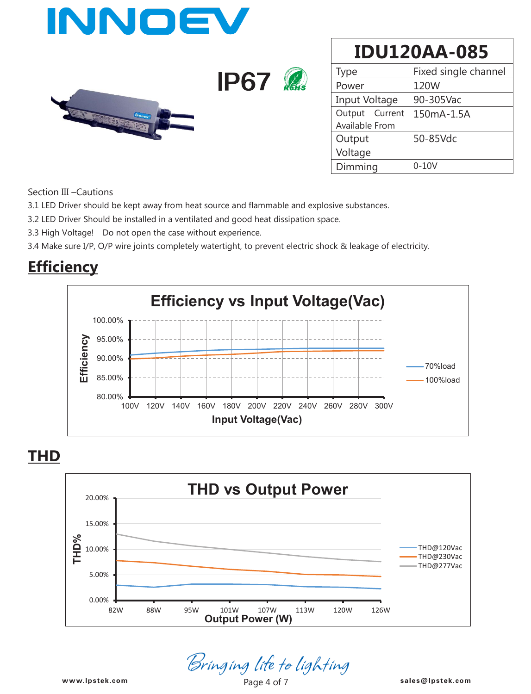

| Type           | Fixed single channel |  |  |  |
|----------------|----------------------|--|--|--|
| Power          | 120W                 |  |  |  |
| Input Voltage  | 90-305Vac            |  |  |  |
| Output Current | 150mA-1.5A           |  |  |  |
| Available From |                      |  |  |  |
| Output         | 50-85Vdc             |  |  |  |
| Voltage        |                      |  |  |  |
| Dimming        | $0 - 10V$            |  |  |  |

Section III –Cautions

3.1 LED Driver should be kept away from heat source and flammable and explosive substances.

3.2 LED Driver Should be installed in a ventilated and good heat dissipation space.

3.3 High Voltage! Do not open the case without experience.

3.4 Make sure I/P, O/P wire joints completely watertight, to prevent electric shock & leakage of electricity.

### **Efficiency**



#### **THD**



Bringing life to lighting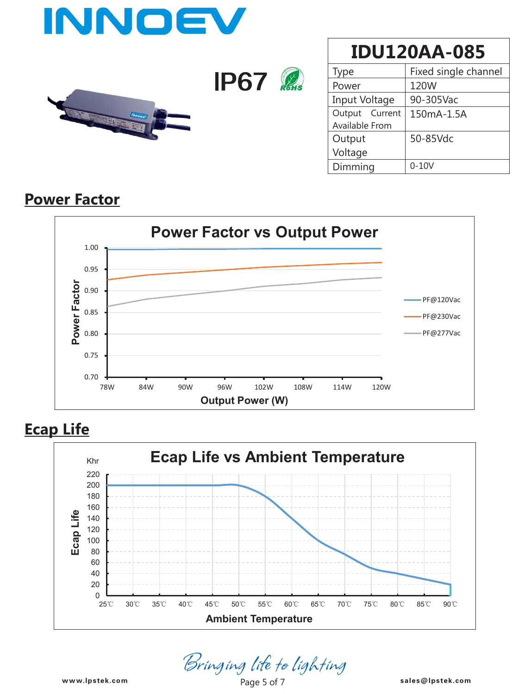

| Type           | Fixed single channel |  |  |  |
|----------------|----------------------|--|--|--|
| Power          | 120W                 |  |  |  |
| Input Voltage  | 90-305Vac            |  |  |  |
| Output Current | 150mA-1.5A           |  |  |  |
| Available From |                      |  |  |  |
| Output         | 50-85Vdc             |  |  |  |
| Voltage        |                      |  |  |  |
| Dimming        | $0-10V$              |  |  |  |

### **Power Factor**



#### **Ecap Life**



*Bringing life to lighting*<br><sup>Page 5 of 7</sub> sales@lpstek.com</sup>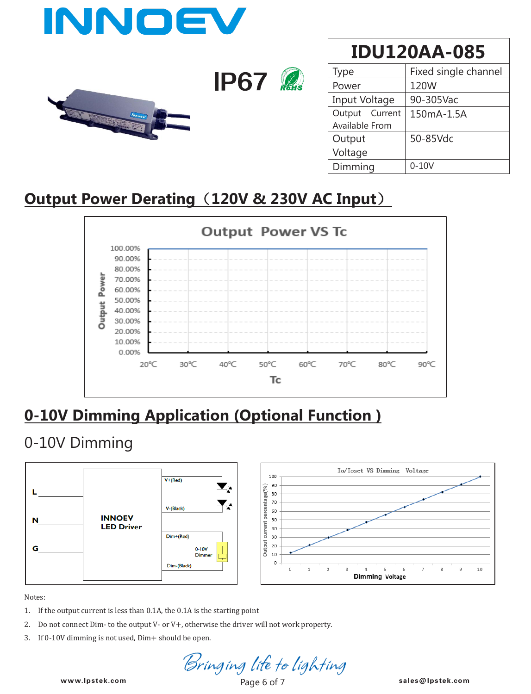

| vpe            | Fixed single channel |  |  |  |  |  |
|----------------|----------------------|--|--|--|--|--|
| Power          | 120W                 |  |  |  |  |  |
| Input Voltage  | 90-305Vac            |  |  |  |  |  |
| Output Current | 150mA-1.5A           |  |  |  |  |  |
| Available From |                      |  |  |  |  |  |
| Output         | 50-85Vdc             |  |  |  |  |  |
| Voltage        |                      |  |  |  |  |  |
| Dimming        | $0 - 10V$            |  |  |  |  |  |

### **Output Power Derating**(**120V & 230V AC Input**)



### **0-10V Dimming Application (Optional Function )**

### 0-10V Dimming



Notes:

- 1. If the output current is less than 0.1A, the 0.1A is the starting point
- 2. Do not connect Dim- to the output V- or V+, otherwise the driver will not work property.
- 3. If 0-10V dimming is not used, Dim+ should be open.

**www.lpstek.com sales@lpstek.com**

www.lpstek.com Page 6 of 7